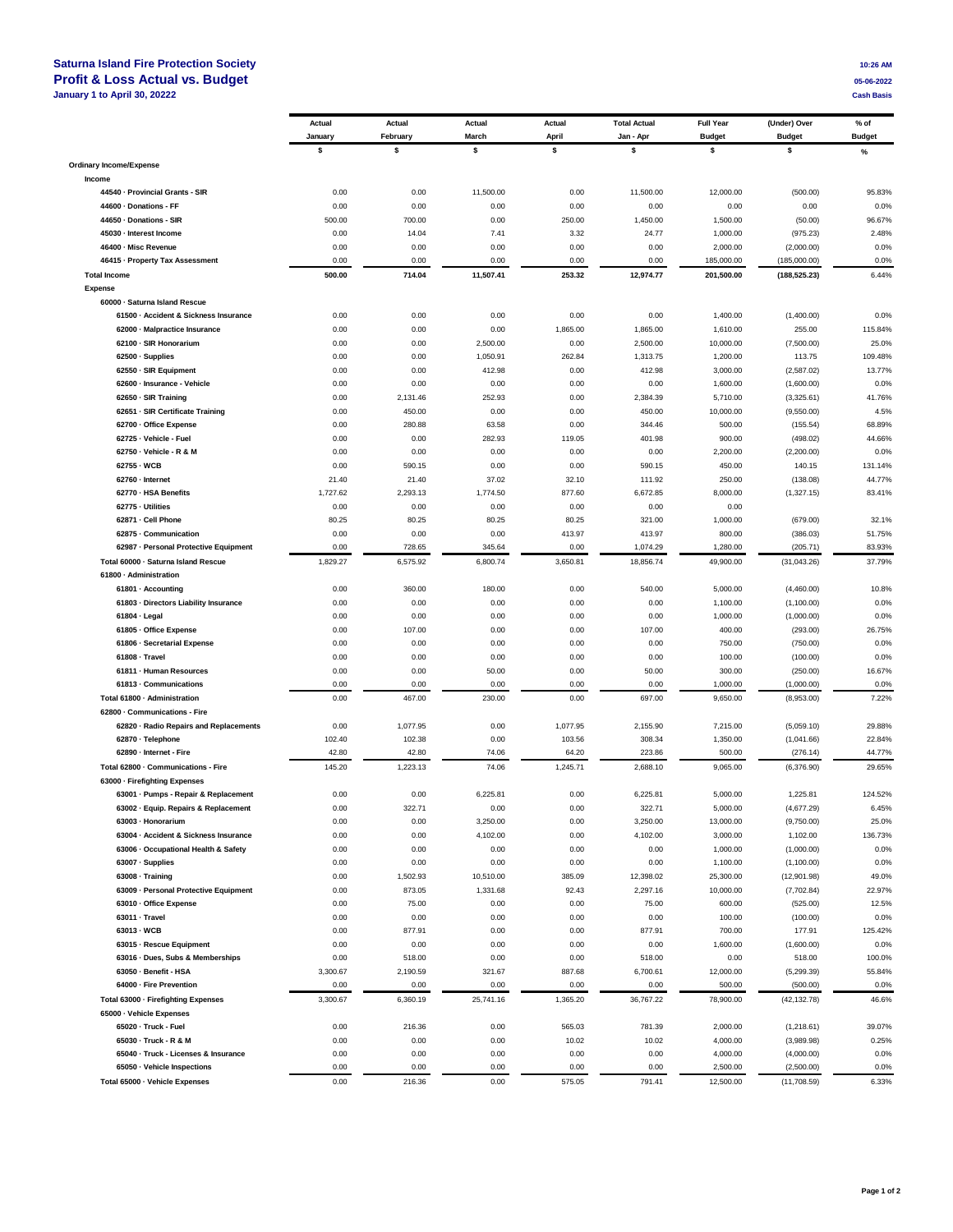## **Saturna Island Fire Protection Society 10:26 AM**<br> **Profit & Loss Actual vs. Budget 10:26 AM Profit & Loss Actual vs. Budget 05-06-2022**<br> **19-11-12-2022** Cash Basis Cash Basis Cash Basis Cash Basis Cash Basis Cash Basis Cash Basis Cash Basis Cash Basis **January 1 to April 30, 20222**

|                                                                               | Actual       | Actual           | Actual            | Actual         | <b>Total Actual</b> | <b>Full Year</b>      | (Under) Over             | % of          |
|-------------------------------------------------------------------------------|--------------|------------------|-------------------|----------------|---------------------|-----------------------|--------------------------|---------------|
|                                                                               | January      | February         | March             | April          | Jan - Apr           | <b>Budget</b>         | <b>Budget</b>            | <b>Budget</b> |
|                                                                               | \$           | \$               | \$                | \$             | \$                  | \$                    | \$                       | $\%$          |
| <b>Ordinary Income/Expense</b>                                                |              |                  |                   |                |                     |                       |                          |               |
| Income                                                                        |              |                  |                   |                |                     |                       |                          |               |
| 44540 - Provincial Grants - SIR                                               | 0.00         | 0.00             | 11,500.00         | 0.00           | 11,500.00           | 12,000.00             | (500.00)                 | 95.83%        |
| 44600 · Donations - FF                                                        | 0.00         | 0.00             | 0.00              | 0.00           | 0.00                | 0.00                  | 0.00                     | 0.0%          |
| 44650 · Donations - SIR                                                       | 500.00       | 700.00           | 0.00              | 250.00         | 1,450.00            | 1,500.00              | (50.00)                  | 96.67%        |
| 45030 - Interest Income                                                       | 0.00         | 14.04            | 7.41              | 3.32           | 24.77               | 1,000.00              | (975.23)                 | 2.48%         |
| 46400 - Misc Revenue                                                          | 0.00         | 0.00             | 0.00              | 0.00           | 0.00                | 2,000.00              | (2,000.00)               | 0.0%          |
| 46415 - Property Tax Assessment                                               | 0.00         | 0.00             | 0.00              | 0.00           | 0.00                | 185,000.00            | (185,000.00)             | 0.0%          |
| <b>Total Income</b>                                                           | 500.00       | 714.04           | 11,507.41         | 253.32         | 12,974.77           | 201,500.00            | (188, 525.23)            | 6.44%         |
| Expense                                                                       |              |                  |                   |                |                     |                       |                          |               |
| 60000 · Saturna Island Rescue                                                 |              |                  |                   |                |                     |                       |                          |               |
| 61500 - Accident & Sickness Insurance                                         | 0.00         | 0.00             | 0.00              | 0.00           | 0.00                | 1,400.00              | (1,400.00)               | 0.0%          |
| 62000 - Malpractice Insurance                                                 | 0.00         | 0.00             | 0.00              | 1,865.00       | 1,865.00            | 1,610.00              | 255.00                   | 115.84%       |
| 62100 · SIR Honorarium                                                        | 0.00         | 0.00             | 2,500.00          | 0.00           | 2,500.00            | 10,000.00             | (7,500.00)               | 25.0%         |
| 62500 · Supplies                                                              | 0.00         | 0.00             | 1,050.91          | 262.84         | 1,313.75            | 1,200.00              | 113.75                   | 109.48%       |
| 62550 · SIR Equipment                                                         | 0.00         | 0.00             | 412.98            | 0.00           | 412.98              | 3,000.00              | (2,587.02)               | 13.77%        |
| 62600 - Insurance - Vehicle                                                   | 0.00         | 0.00             | 0.00              | 0.00           | 0.00                | 1,600.00              | (1,600.00)               | 0.0%          |
| 62650 - SIR Training                                                          | 0.00         | 2,131.46         | 252.93            | 0.00           | 2,384.39            | 5,710.00              | (3,325.61)               | 41.76%        |
| 62651 · SIR Certificate Training                                              | 0.00         | 450.00           | 0.00              | 0.00           | 450.00              | 10,000.00             | (9,550.00)               | 4.5%          |
| 62700 - Office Expense                                                        | 0.00         | 280.88           | 63.58             | 0.00           | 344.46              | 500.00                | (155.54)                 | 68.89%        |
| 62725 - Vehicle - Fuel                                                        | 0.00         | 0.00             | 282.93            | 119.05         | 401.98              | 900.00                | (498.02)                 | 44.66%        |
| 62750 - Vehicle - R & M                                                       | 0.00         | 0.00             | 0.00              | 0.00           | 0.00                | 2,200.00              | (2,200.00)               | 0.0%          |
| 62755 - WCB                                                                   | 0.00         | 590.15           | 0.00              | 0.00           | 590.15              | 450.00                | 140.15                   | 131.14%       |
| 62760 - Internet                                                              | 21.40        | 21.40            | 37.02             | 32.10          | 111.92              | 250.00                | (138.08)                 | 44.77%        |
| 62770 - HSA Benefits                                                          | 1,727.62     | 2,293.13         | 1,774.50          | 877.60         | 6,672.85            | 8,000.00              | (1,327.15)               | 83.41%        |
| 62775 - Utilities                                                             | 0.00         | 0.00             | 0.00              | 0.00           | 0.00                | 0.00                  |                          |               |
| 62871 - Cell Phone                                                            | 80.25        | 80.25            | 80.25             | 80.25          | 321.00              | 1,000.00              | (679.00)                 | 32.1%         |
| 62875 - Communication                                                         | 0.00         | 0.00             | 0.00              | 413.97         | 413.97              | 800.00                | (386.03)                 | 51.75%        |
| 62987 - Personal Protective Equipment                                         | 0.00         | 728.65           | 345.64            | 0.00           | 1,074.29            | 1,280.00              | (205.71)                 | 83.93%        |
| Total 60000 - Saturna Island Rescue                                           | 1,829.27     | 6,575.92         | 6,800.74          | 3,650.81       | 18,856.74           | 49,900.00             | (31,043.26)              | 37.79%        |
| 61800 · Administration                                                        |              |                  |                   |                |                     |                       |                          |               |
| 61801 · Accounting                                                            | 0.00         | 360.00           | 180.00            | 0.00           | 540.00              | 5,000.00              | (4,460.00)               | 10.8%         |
| 61803 · Directors Liability Insurance                                         | 0.00         | 0.00             | 0.00              | 0.00           | 0.00                | 1,100.00              | (1,100.00)               | 0.0%          |
| 61804 · Legal                                                                 | 0.00         | 0.00             | 0.00              | 0.00           | 0.00                | 1,000.00              | (1,000.00)               | 0.0%          |
| 61805 · Office Expense                                                        | 0.00         | 107.00           | 0.00              | 0.00           | 107.00              | 400.00                | (293.00)                 | 26.75%        |
| 61806 - Secretarial Expense                                                   | 0.00         | 0.00             | 0.00              | 0.00           | 0.00                | 750.00                | (750.00)                 | 0.0%          |
| 61808 - Travel                                                                | 0.00         | 0.00             | 0.00              | 0.00           | 0.00                | 100.00                | (100.00)                 | 0.0%          |
| 61811 - Human Resources                                                       | 0.00         | 0.00             | 50.00             | 0.00           | 50.00               | 300.00                | (250.00)                 | 16.67%        |
| 61813 - Communications                                                        | 0.00         | 0.00             | 0.00              | 0.00           | 0.00                | 1,000.00              | (1,000.00)               | 0.0%          |
| Total 61800 - Administration                                                  | 0.00         | 467.00           | 230.00            | 0.00           | 697.00              | 9,650.00              | (8,953.00)               | 7.22%         |
| 62800 - Communications - Fire                                                 |              |                  |                   |                |                     |                       |                          |               |
| 62820 · Radio Repairs and Replacements                                        | 0.00         | 1,077.95         | 0.00              | 1,077.95       | 2,155.90            | 7,215.00              | (5,059.10)               | 29.88%        |
| 62870 · Telephone                                                             | 102.40       | 102.38           | 0.00              | 103.56         | 308.34              | 1,350.00              | (1,041.66)               | 22.84%        |
| 62890 - Internet - Fire                                                       | 42.80        | 42.80            | 74.06             | 64.20          | 223.86              | 500.00                | (276.14)                 | 44.77%        |
| Total 62800 - Communications - Fire                                           | 145.20       | 1,223.13         | 74.06             | 1,245.71       | 2,688.10            | 9,065.00              | (6,376.90)               | 29.65%        |
| 63000 - Firefighting Expenses                                                 |              |                  |                   |                |                     |                       |                          |               |
| 63001 · Pumps - Repair & Replacement                                          | 0.00         | 0.00             | 6,225.81          | 0.00           | 6,225.81            | 5,000.00              | 1,225.81                 | 124.52%       |
| 63002 · Equip. Repairs & Replacement                                          | 0.00         | 322.71           | 0.00              | 0.00           | 322.71              | 5,000.00              | (4,677.29)               | 6.45%         |
| 63003 - Honorarium                                                            | 0.00         | 0.00             | 3,250.00          | 0.00           | 3,250.00            | 13,000.00             | (9,750.00)               | 25.0%         |
| 63004 - Accident & Sickness Insurance<br>63006 - Occupational Health & Safety | 0.00         | 0.00             | 4,102.00          | 0.00           | 4,102.00            | 3,000.00              | 1,102.00                 | 136.73%       |
| 63007 · Supplies                                                              | 0.00         | 0.00             | 0.00              | 0.00           | 0.00                | 1,000.00              | (1,000.00)<br>(1,100.00) | 0.0%          |
| 63008 · Training                                                              | 0.00<br>0.00 | 0.00<br>1,502.93 | 0.00<br>10,510.00 | 0.00<br>385.09 | 0.00<br>12,398.02   | 1,100.00<br>25,300.00 | (12,901.98)              | 0.0%<br>49.0% |
| 63009 - Personal Protective Equipment                                         | 0.00         | 873.05           | 1,331.68          | 92.43          | 2,297.16            | 10,000.00             |                          | 22.97%        |
| 63010 · Office Expense                                                        | 0.00         | 75.00            | 0.00              | 0.00           | 75.00               | 600.00                | (7,702.84)<br>(525.00)   | 12.5%         |
| 63011 - Travel                                                                | 0.00         | 0.00             | 0.00              | 0.00           | 0.00                | 100.00                | (100.00)                 | 0.0%          |
| 63013 - WCB                                                                   | 0.00         | 877.91           | 0.00              | 0.00           | 877.91              | 700.00                | 177.91                   | 125.42%       |
| 63015 - Rescue Equipment                                                      | 0.00         | 0.00             | 0.00              | 0.00           | 0.00                | 1,600.00              | (1,600.00)               | 0.0%          |
| 63016 - Dues, Subs & Memberships                                              | 0.00         | 518.00           | 0.00              | 0.00           | 518.00              | 0.00                  | 518.00                   | 100.0%        |
| 63050 · Benefit - HSA                                                         | 3,300.67     | 2,190.59         | 321.67            | 887.68         | 6,700.61            | 12,000.00             | (5,299.39)               | 55.84%        |
| 64000 - Fire Prevention                                                       | 0.00         | 0.00             | 0.00              | 0.00           | 0.00                | 500.00                | (500.00)                 | 0.0%          |
| Total 63000 - Firefighting Expenses                                           | 3,300.67     | 6,360.19         | 25,741.16         | 1,365.20       | 36,767.22           | 78,900.00             | (42, 132.78)             | 46.6%         |
| 65000 · Vehicle Expenses                                                      |              |                  |                   |                |                     |                       |                          |               |
| 65020 - Truck - Fuel                                                          | 0.00         | 216.36           | 0.00              | 565.03         | 781.39              | 2,000.00              | (1,218.61)               | 39.07%        |
| 65030 - Truck - R & M                                                         | 0.00         | 0.00             | 0.00              | 10.02          | 10.02               | 4,000.00              | (3,989.98)               | 0.25%         |
| 65040 · Truck - Licenses & Insurance                                          | 0.00         | 0.00             | 0.00              | 0.00           | 0.00                | 4,000.00              | (4,000.00)               | 0.0%          |
| 65050 · Vehicle Inspections                                                   | 0.00         | 0.00             | 0.00              | 0.00           | 0.00                | 2,500.00              | (2,500.00)               | 0.0%          |
| Total 65000 - Vehicle Expenses                                                | 0.00         | 216.36           | 0.00              | 575.05         | 791.41              | 12,500.00             | (11,708.59)              | 6.33%         |
|                                                                               |              |                  |                   |                |                     |                       |                          |               |